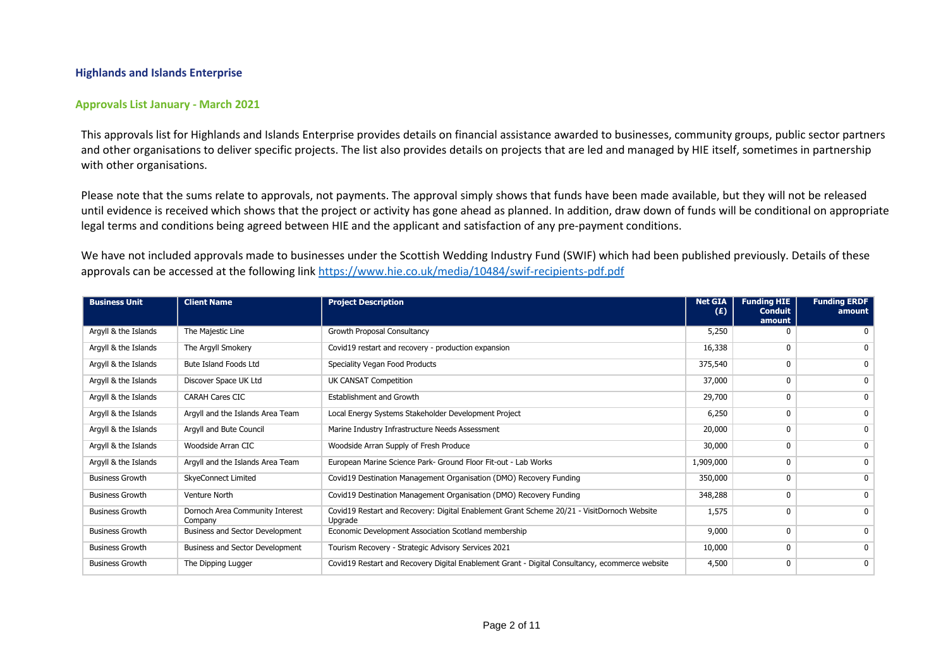## **Highlands and Islands Enterprise**

## **Approvals List January - March 2021**

This approvals list for Highlands and Islands Enterprise provides details on financial assistance awarded to businesses, community groups, public sector partners and other organisations to deliver specific projects. The list also provides details on projects that are led and managed by HIE itself, sometimes in partnership with other organisations.

Please note that the sums relate to approvals, not payments. The approval simply shows that funds have been made available, but they will not be released until evidence is received which shows that the project or activity has gone ahead as planned. In addition, draw down of funds will be conditional on appropriate legal terms and conditions being agreed between HIE and the applicant and satisfaction of any pre-payment conditions.

We have not included approvals made to businesses under the Scottish Wedding Industry Fund (SWIF) which had been published previously. Details of these approvals can be accessed at the following link <https://www.hie.co.uk/media/10484/swif-recipients-pdf.pdf>

| <b>Business Unit</b>   | <b>Client Name</b>                         | <b>Project Description</b>                                                                            | <b>Net GIA</b><br>(E) | <b>Funding HIE</b><br><b>Conduit</b> | <b>Funding ERDF</b><br>amount |
|------------------------|--------------------------------------------|-------------------------------------------------------------------------------------------------------|-----------------------|--------------------------------------|-------------------------------|
|                        |                                            |                                                                                                       |                       | amount                               |                               |
| Argyll & the Islands   | The Majestic Line                          | Growth Proposal Consultancy                                                                           | 5,250                 |                                      |                               |
| Argyll & the Islands   | The Argyll Smokery                         | Covid19 restart and recovery - production expansion                                                   | 16,338                | 0                                    | 0                             |
| Argyll & the Islands   | Bute Island Foods Ltd                      | Speciality Vegan Food Products                                                                        | 375,540               | $\mathbf{0}$                         | 0                             |
| Argyll & the Islands   | Discover Space UK Ltd                      | UK CANSAT Competition                                                                                 | 37,000                | 0                                    | 0                             |
| Argyll & the Islands   | <b>CARAH Cares CIC</b>                     | <b>Establishment and Growth</b>                                                                       | 29,700                | 0                                    | $\mathbf{0}$                  |
| Argyll & the Islands   | Argyll and the Islands Area Team           | Local Energy Systems Stakeholder Development Project                                                  | 6,250                 | 0                                    | 0                             |
| Argyll & the Islands   | Argyll and Bute Council                    | Marine Industry Infrastructure Needs Assessment                                                       | 20,000                | 0                                    | 0                             |
| Argyll & the Islands   | Woodside Arran CIC                         | Woodside Arran Supply of Fresh Produce                                                                | 30,000                | $\mathbf{0}$                         | 0                             |
| Argyll & the Islands   | Argyll and the Islands Area Team           | European Marine Science Park- Ground Floor Fit-out - Lab Works                                        | 1,909,000             | 0                                    | 0                             |
| <b>Business Growth</b> | <b>SkyeConnect Limited</b>                 | Covid19 Destination Management Organisation (DMO) Recovery Funding                                    | 350,000               | 0                                    | $\mathbf{0}$                  |
| <b>Business Growth</b> | Venture North                              | Covid19 Destination Management Organisation (DMO) Recovery Funding                                    | 348,288               | 0                                    | 0                             |
| <b>Business Growth</b> | Dornoch Area Community Interest<br>Company | Covid19 Restart and Recovery: Digital Enablement Grant Scheme 20/21 - VisitDornoch Website<br>Upgrade | 1,575                 | 0                                    | 0                             |
| <b>Business Growth</b> | Business and Sector Development            | Economic Development Association Scotland membership                                                  | 9,000                 | 0                                    | 0                             |
| <b>Business Growth</b> | Business and Sector Development            | Tourism Recovery - Strategic Advisory Services 2021                                                   | 10,000                | 0                                    | 0                             |
| <b>Business Growth</b> | The Dipping Lugger                         | Covid19 Restart and Recovery Digital Enablement Grant - Digital Consultancy, ecommerce website        | 4,500                 | 0                                    | 0                             |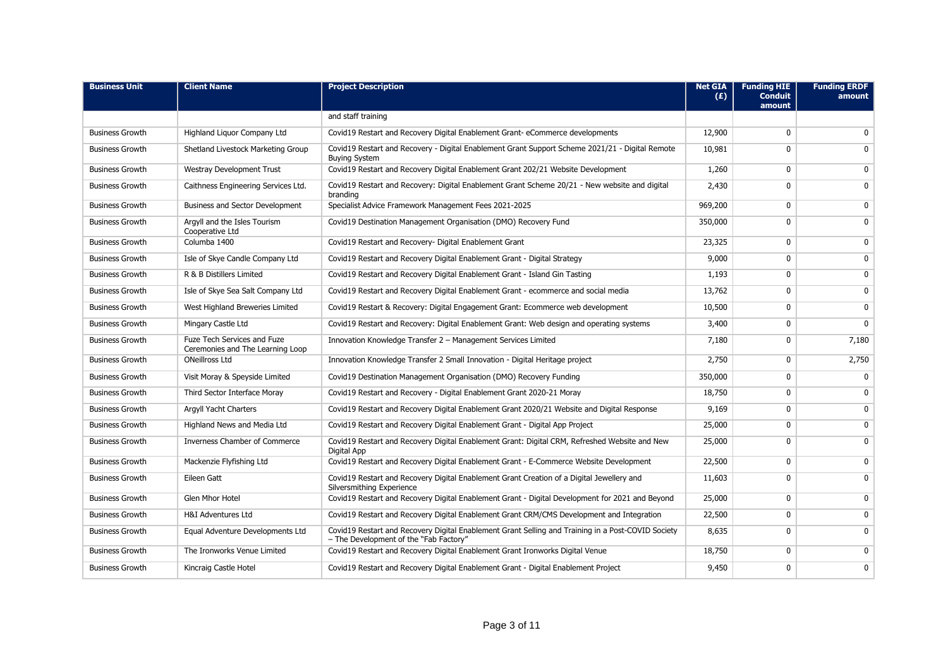| <b>Business Unit</b>   | <b>Client Name</b>                                                     | <b>Project Description</b>                                                                                                                   | <b>Net GIA</b><br>(E) | <b>Funding HIE</b><br><b>Conduit</b><br>amount | <b>Funding ERDF</b><br>amount |
|------------------------|------------------------------------------------------------------------|----------------------------------------------------------------------------------------------------------------------------------------------|-----------------------|------------------------------------------------|-------------------------------|
|                        |                                                                        | and staff training                                                                                                                           |                       |                                                |                               |
| <b>Business Growth</b> | Highland Liguor Company Ltd                                            | Covid19 Restart and Recovery Digital Enablement Grant-eCommerce developments                                                                 | 12,900                | 0                                              | $\mathbf{0}$                  |
| <b>Business Growth</b> | Shetland Livestock Marketing Group                                     | Covid19 Restart and Recovery - Digital Enablement Grant Support Scheme 2021/21 - Digital Remote<br><b>Buying System</b>                      | 10,981                | 0                                              | 0                             |
| <b>Business Growth</b> | <b>Westray Development Trust</b>                                       | Covid19 Restart and Recovery Digital Enablement Grant 202/21 Website Development                                                             | 1,260                 | 0                                              | $\mathbf 0$                   |
| <b>Business Growth</b> | Caithness Engineering Services Ltd.                                    | Covid19 Restart and Recovery: Digital Enablement Grant Scheme 20/21 - New website and digital<br>branding                                    | 2,430                 | 0                                              | $\mathbf{0}$                  |
| <b>Business Growth</b> | Business and Sector Development                                        | Specialist Advice Framework Management Fees 2021-2025                                                                                        | 969,200               | 0                                              | 0                             |
| <b>Business Growth</b> | Argyll and the Isles Tourism<br>Cooperative Ltd                        | Covid19 Destination Management Organisation (DMO) Recovery Fund                                                                              | 350,000               | 0                                              | 0                             |
| <b>Business Growth</b> | Columba 1400                                                           | Covid19 Restart and Recovery- Digital Enablement Grant                                                                                       | 23,325                | 0                                              | $\mathbf 0$                   |
| <b>Business Growth</b> | Isle of Skye Candle Company Ltd                                        | Covid19 Restart and Recovery Digital Enablement Grant - Digital Strategy                                                                     | 9,000                 | 0                                              | $\mathbf 0$                   |
| <b>Business Growth</b> | R & B Distillers Limited                                               | Covid19 Restart and Recovery Digital Enablement Grant - Island Gin Tasting                                                                   | 1,193                 | 0                                              | $\mathbf 0$                   |
| <b>Business Growth</b> | Isle of Skye Sea Salt Company Ltd                                      | Covid19 Restart and Recovery Digital Enablement Grant - ecommerce and social media                                                           | 13,762                | 0                                              | 0                             |
| <b>Business Growth</b> | West Highland Breweries Limited                                        | Covid19 Restart & Recovery: Digital Engagement Grant: Ecommerce web development                                                              | 10,500                | 0                                              | 0                             |
| <b>Business Growth</b> | Mingary Castle Ltd                                                     | Covid19 Restart and Recovery: Digital Enablement Grant: Web design and operating systems                                                     | 3,400                 | 0                                              | $\mathbf{0}$                  |
| <b>Business Growth</b> | <b>Fuze Tech Services and Fuze</b><br>Ceremonies and The Learning Loop | Innovation Knowledge Transfer 2 - Management Services Limited                                                                                | 7,180                 | 0                                              | 7,180                         |
| <b>Business Growth</b> | <b>ONeillross Ltd</b>                                                  | Innovation Knowledge Transfer 2 Small Innovation - Digital Heritage project                                                                  | 2,750                 | 0                                              | 2,750                         |
| <b>Business Growth</b> | Visit Moray & Speyside Limited                                         | Covid19 Destination Management Organisation (DMO) Recovery Funding                                                                           | 350,000               | 0                                              | 0                             |
| <b>Business Growth</b> | Third Sector Interface Moray                                           | Covid19 Restart and Recovery - Digital Enablement Grant 2020-21 Moray                                                                        | 18,750                | 0                                              | $\mathbf{0}$                  |
| <b>Business Growth</b> | <b>Argyll Yacht Charters</b>                                           | Covid19 Restart and Recovery Digital Enablement Grant 2020/21 Website and Digital Response                                                   | 9,169                 | 0                                              | 0                             |
| <b>Business Growth</b> | Highland News and Media Ltd                                            | Covid19 Restart and Recovery Digital Enablement Grant - Digital App Project                                                                  | 25,000                | 0                                              | $\mathbf 0$                   |
| <b>Business Growth</b> | Inverness Chamber of Commerce                                          | Covid19 Restart and Recovery Digital Enablement Grant: Digital CRM, Refreshed Website and New<br>Digital App                                 | 25,000                | 0                                              | 0                             |
| <b>Business Growth</b> | Mackenzie Flyfishing Ltd                                               | Covid19 Restart and Recovery Digital Enablement Grant - E-Commerce Website Development                                                       | 22,500                | 0                                              | $\mathbf 0$                   |
| <b>Business Growth</b> | Eileen Gatt                                                            | Covid19 Restart and Recovery Digital Enablement Grant Creation of a Digital Jewellery and<br>Silversmithing Experience                       | 11,603                | 0                                              | $\mathbf{0}$                  |
| <b>Business Growth</b> | <b>Glen Mhor Hotel</b>                                                 | Covid19 Restart and Recovery Digital Enablement Grant - Digital Development for 2021 and Beyond                                              | 25,000                | $\mathbf{0}$                                   | $\mathbf{0}$                  |
| <b>Business Growth</b> | <b>H&amp;I Adventures Ltd</b>                                          | Covid19 Restart and Recovery Digital Enablement Grant CRM/CMS Development and Integration                                                    | 22,500                | 0                                              | $\mathbf 0$                   |
| <b>Business Growth</b> | Equal Adventure Developments Ltd                                       | Covid19 Restart and Recovery Digital Enablement Grant Selling and Training in a Post-COVID Society<br>- The Development of the "Fab Factory" | 8,635                 | 0                                              | $\mathbf{0}$                  |
| <b>Business Growth</b> | The Ironworks Venue Limited                                            | Covid19 Restart and Recovery Digital Enablement Grant Ironworks Digital Venue                                                                | 18,750                | 0                                              | $\mathbf{0}$                  |
| <b>Business Growth</b> | Kincraig Castle Hotel                                                  | Covid19 Restart and Recovery Digital Enablement Grant - Digital Enablement Project                                                           | 9,450                 | 0                                              | 0                             |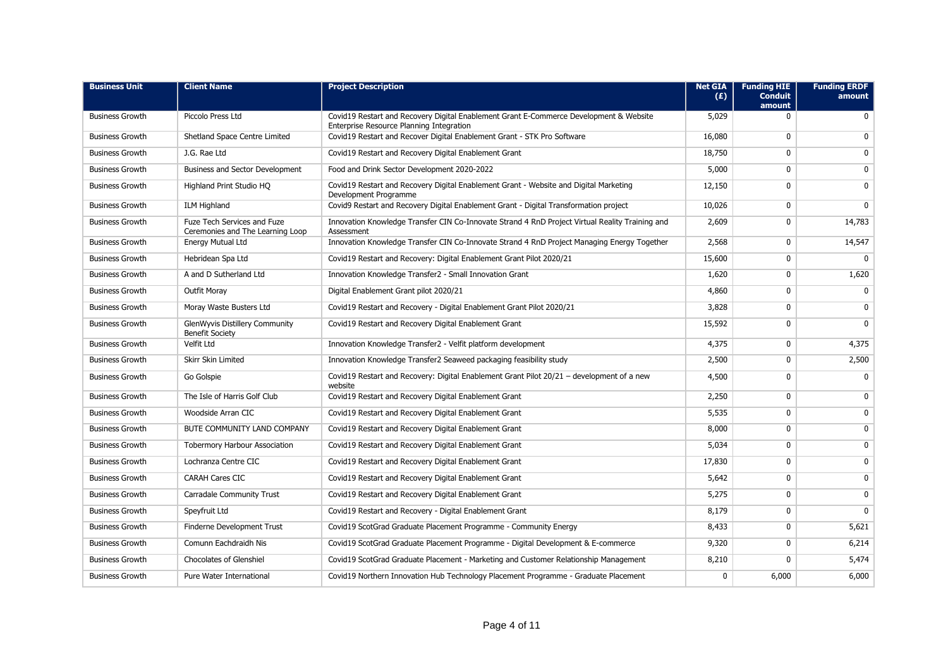| <b>Business Unit</b>   | <b>Client Name</b>                                              | <b>Project Description</b>                                                                                                         | <b>Net GIA</b><br>(E) | <b>Funding HIE</b><br><b>Conduit</b><br>amount | <b>Funding ERDF</b><br>amount |
|------------------------|-----------------------------------------------------------------|------------------------------------------------------------------------------------------------------------------------------------|-----------------------|------------------------------------------------|-------------------------------|
| <b>Business Growth</b> | Piccolo Press Ltd                                               | Covid19 Restart and Recovery Digital Enablement Grant E-Commerce Development & Website<br>Enterprise Resource Planning Integration | 5,029                 | 0                                              | $\mathbf 0$                   |
| <b>Business Growth</b> | Shetland Space Centre Limited                                   | Covid19 Restart and Recover Digital Enablement Grant - STK Pro Software                                                            | 16,080                | 0                                              | 0                             |
| <b>Business Growth</b> | J.G. Rae Ltd                                                    | Covid19 Restart and Recovery Digital Enablement Grant                                                                              | 18,750                | 0                                              | 0                             |
| <b>Business Growth</b> | Business and Sector Development                                 | Food and Drink Sector Development 2020-2022                                                                                        | 5,000                 | 0                                              | $\mathbf 0$                   |
| <b>Business Growth</b> | Highland Print Studio HQ                                        | Covid19 Restart and Recovery Digital Enablement Grant - Website and Digital Marketing<br>Development Programme                     | 12,150                | 0                                              | $\mathbf 0$                   |
| <b>Business Growth</b> | <b>ILM Highland</b>                                             | Covid9 Restart and Recovery Digital Enablement Grant - Digital Transformation project                                              | 10,026                | 0                                              | $\mathbf{0}$                  |
| <b>Business Growth</b> | Fuze Tech Services and Fuze<br>Ceremonies and The Learning Loop | Innovation Knowledge Transfer CIN Co-Innovate Strand 4 RnD Project Virtual Reality Training and<br>Assessment                      | 2,609                 | 0                                              | 14,783                        |
| <b>Business Growth</b> | Energy Mutual Ltd                                               | Innovation Knowledge Transfer CIN Co-Innovate Strand 4 RnD Project Managing Energy Together                                        | 2,568                 | 0                                              | 14,547                        |
| <b>Business Growth</b> | Hebridean Spa Ltd                                               | Covid19 Restart and Recovery: Digital Enablement Grant Pilot 2020/21                                                               | 15,600                | 0                                              | 0                             |
| <b>Business Growth</b> | A and D Sutherland Ltd                                          | Innovation Knowledge Transfer2 - Small Innovation Grant                                                                            | 1,620                 | 0                                              | 1,620                         |
| <b>Business Growth</b> | Outfit Moray                                                    | Digital Enablement Grant pilot 2020/21                                                                                             | 4,860                 | 0                                              | $\mathbf{0}$                  |
| <b>Business Growth</b> | Moray Waste Busters Ltd                                         | Covid19 Restart and Recovery - Digital Enablement Grant Pilot 2020/21                                                              | 3,828                 | 0                                              | $\mathbf 0$                   |
| <b>Business Growth</b> | GlenWyvis Distillery Community<br><b>Benefit Society</b>        | Covid19 Restart and Recovery Digital Enablement Grant                                                                              | 15,592                | 0                                              | $\mathbf{0}$                  |
| <b>Business Growth</b> | Velfit Ltd                                                      | Innovation Knowledge Transfer2 - Velfit platform development                                                                       | 4,375                 | 0                                              | 4,375                         |
| <b>Business Growth</b> | Skirr Skin Limited                                              | Innovation Knowledge Transfer2 Seaweed packaging feasibility study                                                                 | 2,500                 | 0                                              | 2,500                         |
| <b>Business Growth</b> | Go Golspie                                                      | Covid19 Restart and Recovery: Digital Enablement Grant Pilot 20/21 - development of a new<br>website                               | 4,500                 | $\mathbf 0$                                    | 0                             |
| <b>Business Growth</b> | The Isle of Harris Golf Club                                    | Covid19 Restart and Recovery Digital Enablement Grant                                                                              | 2,250                 | 0                                              | 0                             |
| <b>Business Growth</b> | Woodside Arran CIC                                              | Covid19 Restart and Recovery Digital Enablement Grant                                                                              | 5,535                 | 0                                              | 0                             |
| <b>Business Growth</b> | BUTE COMMUNITY LAND COMPANY                                     | Covid19 Restart and Recovery Digital Enablement Grant                                                                              | 8,000                 | 0                                              | $\mathbf 0$                   |
| <b>Business Growth</b> | <b>Tobermory Harbour Association</b>                            | Covid19 Restart and Recovery Digital Enablement Grant                                                                              | 5,034                 | 0                                              | $\mathbf 0$                   |
| <b>Business Growth</b> | Lochranza Centre CIC                                            | Covid19 Restart and Recovery Digital Enablement Grant                                                                              | 17,830                | 0                                              | 0                             |
| <b>Business Growth</b> | <b>CARAH Cares CIC</b>                                          | Covid19 Restart and Recovery Digital Enablement Grant                                                                              | 5,642                 | $\mathbf 0$                                    | 0                             |
| <b>Business Growth</b> | Carradale Community Trust                                       | Covid19 Restart and Recovery Digital Enablement Grant                                                                              | 5,275                 | 0                                              | 0                             |
| <b>Business Growth</b> | Speyfruit Ltd                                                   | Covid19 Restart and Recovery - Digital Enablement Grant                                                                            | 8,179                 | 0                                              | 0                             |
| <b>Business Growth</b> | Finderne Development Trust                                      | Covid19 ScotGrad Graduate Placement Programme - Community Energy                                                                   | 8,433                 | 0                                              | 5,621                         |
| <b>Business Growth</b> | Comunn Eachdraidh Nis                                           | Covid19 ScotGrad Graduate Placement Programme - Digital Development & E-commerce                                                   | 9,320                 | 0                                              | 6,214                         |
| <b>Business Growth</b> | <b>Chocolates of Glenshiel</b>                                  | Covid19 ScotGrad Graduate Placement - Marketing and Customer Relationship Management                                               | 8,210                 | $\mathbf 0$                                    | 5,474                         |
| <b>Business Growth</b> | Pure Water International                                        | Covid19 Northern Innovation Hub Technology Placement Programme - Graduate Placement                                                | $\mathbf{0}$          | 6,000                                          | 6,000                         |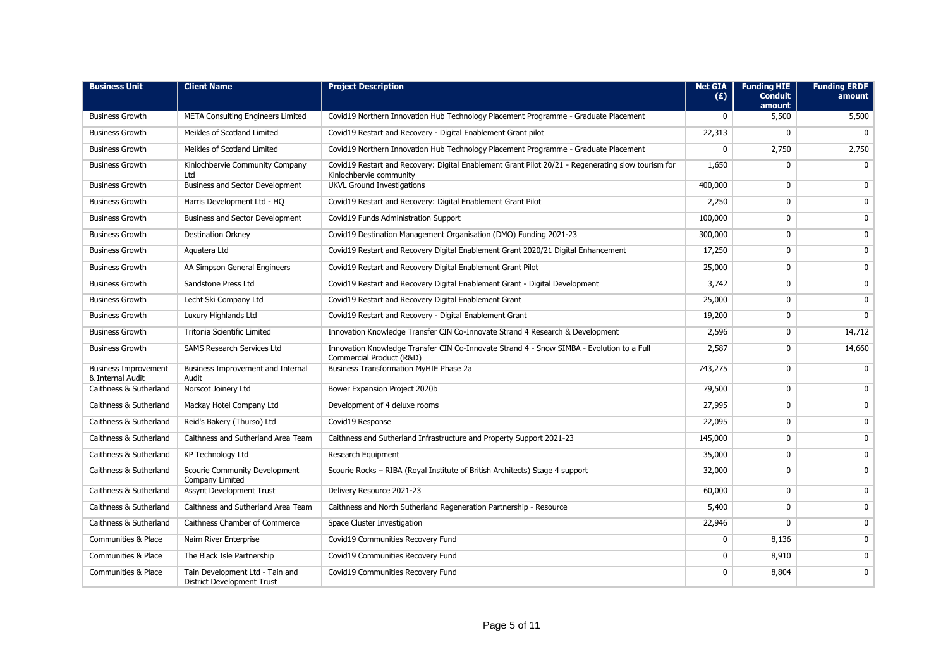| <b>Business Unit</b>                            | <b>Client Name</b>                                                   | <b>Project Description</b>                                                                                                    | <b>Net GIA</b><br>(E) | <b>Funding HIE</b><br><b>Conduit</b><br>amount | <b>Funding ERDF</b><br>amount |
|-------------------------------------------------|----------------------------------------------------------------------|-------------------------------------------------------------------------------------------------------------------------------|-----------------------|------------------------------------------------|-------------------------------|
| <b>Business Growth</b>                          | <b>META Consulting Engineers Limited</b>                             | Covid19 Northern Innovation Hub Technology Placement Programme - Graduate Placement                                           | 0                     | 5,500                                          | 5,500                         |
| <b>Business Growth</b>                          | Meikles of Scotland Limited                                          | Covid19 Restart and Recovery - Digital Enablement Grant pilot                                                                 | 22,313                | 0                                              | $\mathbf{0}$                  |
| <b>Business Growth</b>                          | Meikles of Scotland Limited                                          | Covid19 Northern Innovation Hub Technology Placement Programme - Graduate Placement                                           | 0                     | 2,750                                          | 2,750                         |
| <b>Business Growth</b>                          | Kinlochbervie Community Company<br>Ltd                               | Covid19 Restart and Recovery: Digital Enablement Grant Pilot 20/21 - Regenerating slow tourism for<br>Kinlochbervie community | 1,650                 | $\mathbf{0}$                                   | $\mathbf{0}$                  |
| <b>Business Growth</b>                          | Business and Sector Development                                      | <b>UKVL Ground Investigations</b>                                                                                             | 400,000               | $\mathbf{0}$                                   | $\mathbf{0}$                  |
| <b>Business Growth</b>                          | Harris Development Ltd - HQ                                          | Covid19 Restart and Recovery: Digital Enablement Grant Pilot                                                                  | 2,250                 | $\mathbf 0$                                    | $\mathbf 0$                   |
| <b>Business Growth</b>                          | Business and Sector Development                                      | Covid19 Funds Administration Support                                                                                          | 100,000               | $\mathbf{0}$                                   | $\mathbf 0$                   |
| <b>Business Growth</b>                          | <b>Destination Orkney</b>                                            | Covid19 Destination Management Organisation (DMO) Funding 2021-23                                                             | 300,000               | $\mathbf{0}$                                   | $\mathbf 0$                   |
| <b>Business Growth</b>                          | Aquatera Ltd                                                         | Covid19 Restart and Recovery Digital Enablement Grant 2020/21 Digital Enhancement                                             | 17,250                | 0                                              | $\mathbf 0$                   |
| <b>Business Growth</b>                          | AA Simpson General Engineers                                         | Covid19 Restart and Recovery Digital Enablement Grant Pilot                                                                   | 25,000                | 0                                              | $\mathbf 0$                   |
| <b>Business Growth</b>                          | Sandstone Press Ltd                                                  | Covid19 Restart and Recovery Digital Enablement Grant - Digital Development                                                   | 3,742                 | 0                                              | $\mathbf 0$                   |
| <b>Business Growth</b>                          | Lecht Ski Company Ltd                                                | Covid19 Restart and Recovery Digital Enablement Grant                                                                         | 25,000                | 0                                              | $\mathbf 0$                   |
| <b>Business Growth</b>                          | Luxury Highlands Ltd                                                 | Covid19 Restart and Recovery - Digital Enablement Grant                                                                       | 19,200                | $\mathbf 0$                                    | $\mathbf{0}$                  |
| <b>Business Growth</b>                          | Tritonia Scientific Limited                                          | Innovation Knowledge Transfer CIN Co-Innovate Strand 4 Research & Development                                                 | 2,596                 | 0                                              | 14,712                        |
| <b>Business Growth</b>                          | <b>SAMS Research Services Ltd</b>                                    | Innovation Knowledge Transfer CIN Co-Innovate Strand 4 - Snow SIMBA - Evolution to a Full<br>Commercial Product (R&D)         | 2,587                 | 0                                              | 14,660                        |
| <b>Business Improvement</b><br>& Internal Audit | Business Improvement and Internal<br>Audit                           | <b>Business Transformation MyHIE Phase 2a</b>                                                                                 | 743,275               | $\mathbf{0}$                                   | $\mathbf{0}$                  |
| Caithness & Sutherland                          | Norscot Joinery Ltd                                                  | Bower Expansion Project 2020b                                                                                                 | 79,500                | $\mathbf{0}$                                   | $\mathbf{0}$                  |
| Caithness & Sutherland                          | Mackay Hotel Company Ltd                                             | Development of 4 deluxe rooms                                                                                                 | 27,995                | 0                                              | $\mathbf 0$                   |
| Caithness & Sutherland                          | Reid's Bakery (Thurso) Ltd                                           | Covid19 Response                                                                                                              | 22,095                | 0                                              | $\mathbf 0$                   |
| Caithness & Sutherland                          | Caithness and Sutherland Area Team                                   | Caithness and Sutherland Infrastructure and Property Support 2021-23                                                          | 145,000               | $\mathbf 0$                                    | $\mathbf 0$                   |
| Caithness & Sutherland                          | <b>KP Technology Ltd</b>                                             | Research Equipment                                                                                                            | 35,000                | 0                                              | 0                             |
| Caithness & Sutherland                          | Scourie Community Development<br>Company Limited                     | Scourie Rocks - RIBA (Royal Institute of British Architects) Stage 4 support                                                  | 32,000                | 0                                              | $\mathbf 0$                   |
| Caithness & Sutherland                          | Assynt Development Trust                                             | Delivery Resource 2021-23                                                                                                     | 60,000                | 0                                              | $\mathbf 0$                   |
| Caithness & Sutherland                          | Caithness and Sutherland Area Team                                   | Caithness and North Sutherland Regeneration Partnership - Resource                                                            | 5,400                 | $\mathbf{0}$                                   | $\mathbf 0$                   |
| Caithness & Sutherland                          | Caithness Chamber of Commerce                                        | Space Cluster Investigation                                                                                                   | 22,946                | 0                                              | $\mathbf 0$                   |
| Communities & Place                             | Nairn River Enterprise                                               | Covid19 Communities Recovery Fund                                                                                             | 0                     | 8,136                                          | $\mathbf 0$                   |
| <b>Communities &amp; Place</b>                  | The Black Isle Partnership                                           | Covid19 Communities Recovery Fund                                                                                             | $\mathbf 0$           | 8,910                                          | $\mathbf 0$                   |
| Communities & Place                             | Tain Development Ltd - Tain and<br><b>District Development Trust</b> | Covid19 Communities Recovery Fund                                                                                             | 0                     | 8,804                                          | $\mathbf{0}$                  |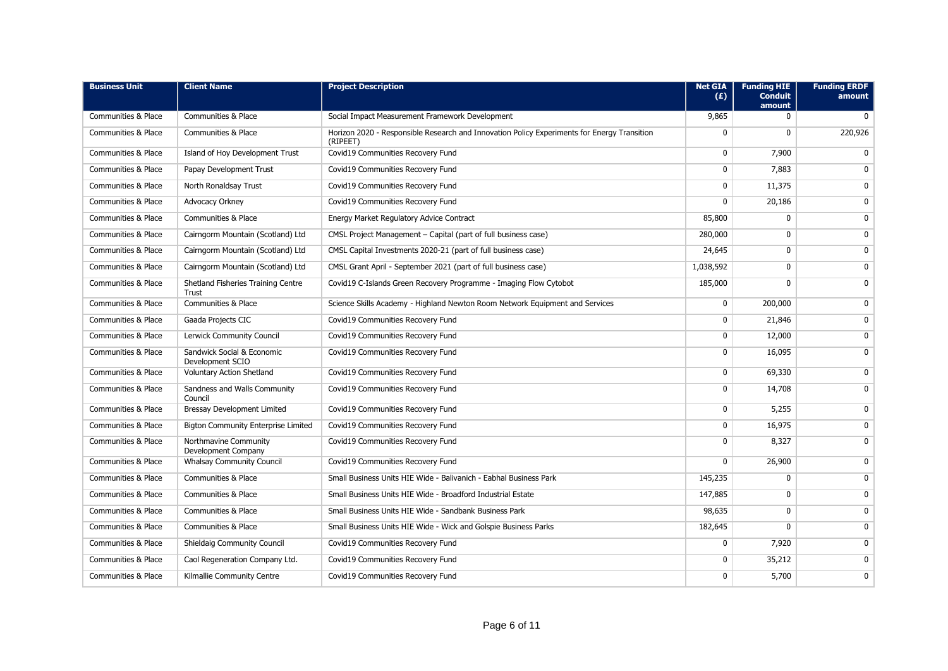| <b>Business Unit</b>           | <b>Client Name</b>                             | <b>Project Description</b>                                                                              | <b>Net GIA</b><br>(E) | <b>Funding HIE</b><br><b>Conduit</b><br>amount | <b>Funding ERDF</b><br>amount |
|--------------------------------|------------------------------------------------|---------------------------------------------------------------------------------------------------------|-----------------------|------------------------------------------------|-------------------------------|
| <b>Communities &amp; Place</b> | Communities & Place                            | Social Impact Measurement Framework Development                                                         | 9,865                 | $\mathbf{0}$                                   | $\mathbf 0$                   |
| <b>Communities &amp; Place</b> | <b>Communities &amp; Place</b>                 | Horizon 2020 - Responsible Research and Innovation Policy Experiments for Energy Transition<br>(RIPEET) | 0                     | $\mathbf{0}$                                   | 220,926                       |
| <b>Communities &amp; Place</b> | Island of Hoy Development Trust                | Covid19 Communities Recovery Fund                                                                       | 0                     | 7,900                                          | $\mathbf 0$                   |
| Communities & Place            | Papay Development Trust                        | Covid19 Communities Recovery Fund                                                                       | 0                     | 7,883                                          | $\mathbf{0}$                  |
| Communities & Place            | North Ronaldsay Trust                          | Covid19 Communities Recovery Fund                                                                       | $\mathbf 0$           | 11,375                                         | $\mathbf 0$                   |
| Communities & Place            | Advocacy Orkney                                | Covid19 Communities Recovery Fund                                                                       | $\mathbf 0$           | 20,186                                         | $\mathbf 0$                   |
| <b>Communities &amp; Place</b> | <b>Communities &amp; Place</b>                 | Energy Market Regulatory Advice Contract                                                                | 85,800                | $\mathbf{0}$                                   | $\mathbf 0$                   |
| <b>Communities &amp; Place</b> | Cairngorm Mountain (Scotland) Ltd              | CMSL Project Management - Capital (part of full business case)                                          | 280,000               | 0                                              | 0                             |
| <b>Communities &amp; Place</b> | Cairngorm Mountain (Scotland) Ltd              | CMSL Capital Investments 2020-21 (part of full business case)                                           | 24,645                | 0                                              | $\mathbf 0$                   |
| <b>Communities &amp; Place</b> | Cairngorm Mountain (Scotland) Ltd              | CMSL Grant April - September 2021 (part of full business case)                                          | 1,038,592             | $\mathbf{0}$                                   | $\mathbf 0$                   |
| <b>Communities &amp; Place</b> | Shetland Fisheries Training Centre<br>Trust    | Covid19 C-Islands Green Recovery Programme - Imaging Flow Cytobot                                       | 185,000               | $\mathbf{0}$                                   | $\mathbf{0}$                  |
| <b>Communities &amp; Place</b> | <b>Communities &amp; Place</b>                 | Science Skills Academy - Highland Newton Room Network Equipment and Services                            | $\mathbf 0$           | 200,000                                        | $\mathbf 0$                   |
| <b>Communities &amp; Place</b> | Gaada Projects CIC                             | Covid19 Communities Recovery Fund                                                                       | 0                     | 21,846                                         | $\mathbf 0$                   |
| <b>Communities &amp; Place</b> | Lerwick Community Council                      | Covid19 Communities Recovery Fund                                                                       | $\mathbf 0$           | 12,000                                         | $\mathbf 0$                   |
| <b>Communities &amp; Place</b> | Sandwick Social & Economic<br>Development SCIO | Covid19 Communities Recovery Fund                                                                       | 0                     | 16,095                                         | $\mathbf{0}$                  |
| Communities & Place            | <b>Voluntary Action Shetland</b>               | Covid19 Communities Recovery Fund                                                                       | 0                     | 69,330                                         | $\mathbf 0$                   |
| <b>Communities &amp; Place</b> | Sandness and Walls Community<br>Council        | Covid19 Communities Recovery Fund                                                                       | $\mathbf 0$           | 14,708                                         | $\mathbf{0}$                  |
| Communities & Place            | <b>Bressay Development Limited</b>             | Covid19 Communities Recovery Fund                                                                       | $\mathbf 0$           | 5,255                                          | $\overline{0}$                |
| <b>Communities &amp; Place</b> | <b>Bigton Community Enterprise Limited</b>     | Covid19 Communities Recovery Fund                                                                       | $\mathbf 0$           | 16,975                                         | $\mathbf{0}$                  |
| <b>Communities &amp; Place</b> | Northmavine Community<br>Development Company   | Covid19 Communities Recovery Fund                                                                       | $\mathbf 0$           | 8,327                                          | $\mathbf{0}$                  |
| <b>Communities &amp; Place</b> | <b>Whalsay Community Council</b>               | Covid19 Communities Recovery Fund                                                                       | $\overline{0}$        | 26,900                                         | $\overline{0}$                |
| Communities & Place            | Communities & Place                            | Small Business Units HIE Wide - Balivanich - Eabhal Business Park                                       | 145,235               | $\mathbf{0}$                                   | $\mathbf{0}$                  |
| <b>Communities &amp; Place</b> | <b>Communities &amp; Place</b>                 | Small Business Units HIE Wide - Broadford Industrial Estate                                             | 147,885               | $\mathbf{0}$                                   | $\mathbf{0}$                  |
| <b>Communities &amp; Place</b> | <b>Communities &amp; Place</b>                 | Small Business Units HIE Wide - Sandbank Business Park                                                  | 98,635                | $\mathbf{0}$                                   | $\mathbf 0$                   |
| <b>Communities &amp; Place</b> | Communities & Place                            | Small Business Units HIE Wide - Wick and Golspie Business Parks                                         | 182,645               | $\mathbf{0}$                                   | $\mathbf{0}$                  |
| <b>Communities &amp; Place</b> | Shieldaig Community Council                    | Covid19 Communities Recovery Fund                                                                       | $\mathbf 0$           | 7,920                                          | $\mathbf{0}$                  |
| Communities & Place            | Caol Regeneration Company Ltd.                 | Covid19 Communities Recovery Fund                                                                       | $\mathbf 0$           | 35,212                                         | $\mathbf{0}$                  |
| <b>Communities &amp; Place</b> | Kilmallie Community Centre                     | Covid19 Communities Recovery Fund                                                                       | $\mathbf{0}$          | 5,700                                          | $\mathbf{0}$                  |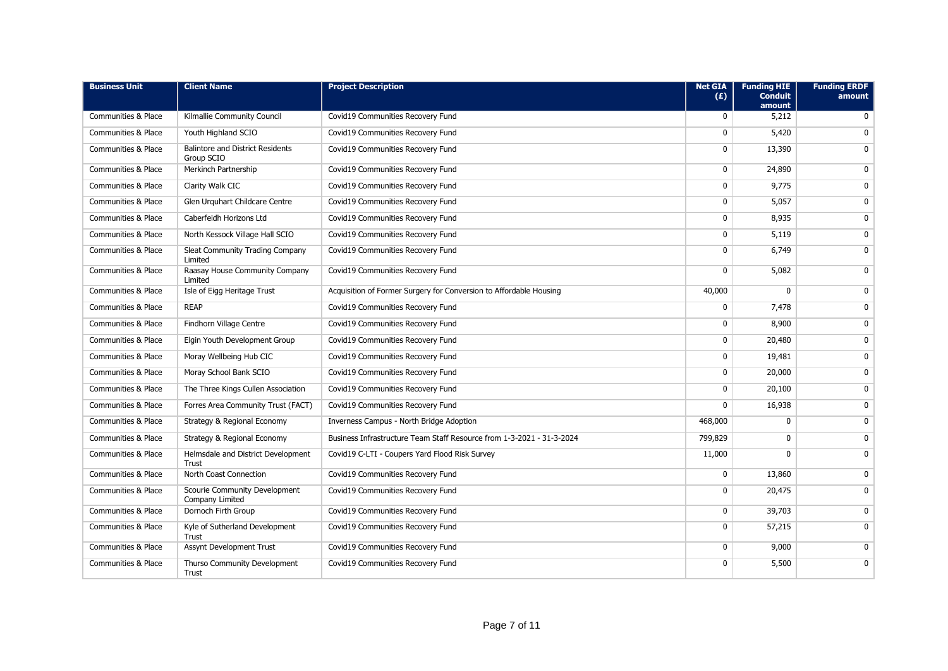| <b>Business Unit</b>           | <b>Client Name</b>                                    | <b>Project Description</b>                                            | <b>Net GIA</b><br>(E) | <b>Funding HIE</b><br><b>Conduit</b><br>amount | <b>Funding ERDF</b><br>amount |
|--------------------------------|-------------------------------------------------------|-----------------------------------------------------------------------|-----------------------|------------------------------------------------|-------------------------------|
| Communities & Place            | Kilmallie Community Council                           | Covid19 Communities Recovery Fund                                     | $\Omega$              | 5,212                                          | $\Omega$                      |
| Communities & Place            | Youth Highland SCIO                                   | Covid19 Communities Recovery Fund                                     | $\mathbf 0$           | 5,420                                          | $\mathbf 0$                   |
| Communities & Place            | <b>Balintore and District Residents</b><br>Group SCIO | Covid19 Communities Recovery Fund                                     | $\mathbf 0$           | 13,390                                         | $\Omega$                      |
| Communities & Place            | Merkinch Partnership                                  | Covid19 Communities Recovery Fund                                     | 0                     | 24,890                                         | $\mathbf 0$                   |
| Communities & Place            | Clarity Walk CIC                                      | Covid19 Communities Recovery Fund                                     | $\mathbf{0}$          | 9,775                                          | $\mathbf{0}$                  |
| <b>Communities &amp; Place</b> | Glen Urguhart Childcare Centre                        | Covid19 Communities Recovery Fund                                     | 0                     | 5,057                                          | 0                             |
| Communities & Place            | Caberfeidh Horizons Ltd                               | Covid19 Communities Recovery Fund                                     | 0                     | 8,935                                          | $\mathbf 0$                   |
| Communities & Place            | North Kessock Village Hall SCIO                       | Covid19 Communities Recovery Fund                                     | $\mathbf 0$           | 5,119                                          | $\mathbf{0}$                  |
| <b>Communities &amp; Place</b> | Sleat Community Trading Company<br>Limited            | Covid19 Communities Recovery Fund                                     | 0                     | 6,749                                          | $\mathbf 0$                   |
| <b>Communities &amp; Place</b> | Raasay House Community Company<br>Limited             | Covid19 Communities Recovery Fund                                     | $\mathbf 0$           | 5,082                                          | $\mathbf{0}$                  |
| <b>Communities &amp; Place</b> | Isle of Eigg Heritage Trust                           | Acquisition of Former Surgery for Conversion to Affordable Housing    | 40,000                | $\mathbf{0}$                                   | $\mathbf{0}$                  |
| <b>Communities &amp; Place</b> | <b>REAP</b>                                           | Covid19 Communities Recovery Fund                                     | 0                     | 7,478                                          | $\mathbf 0$                   |
| <b>Communities &amp; Place</b> | Findhorn Village Centre                               | Covid19 Communities Recovery Fund                                     | 0                     | 8,900                                          | 0                             |
| <b>Communities &amp; Place</b> | Elgin Youth Development Group                         | Covid19 Communities Recovery Fund                                     | $\mathbf 0$           | 20,480                                         | $\mathbf{0}$                  |
| Communities & Place            | Moray Wellbeing Hub CIC                               | Covid19 Communities Recovery Fund                                     | 0                     | 19,481                                         | 0                             |
| <b>Communities &amp; Place</b> | Moray School Bank SCIO                                | Covid19 Communities Recovery Fund                                     | $\mathbf 0$           | 20,000                                         | $\mathbf 0$                   |
| <b>Communities &amp; Place</b> | The Three Kings Cullen Association                    | Covid19 Communities Recovery Fund                                     | 0                     | 20,100                                         | 0                             |
| <b>Communities &amp; Place</b> | Forres Area Community Trust (FACT)                    | Covid19 Communities Recovery Fund                                     | $\mathbf{0}$          | 16,938                                         | $\mathbf{0}$                  |
| Communities & Place            | Strategy & Regional Economy                           | Inverness Campus - North Bridge Adoption                              | 468,000               | 0                                              | $\mathbf 0$                   |
| <b>Communities &amp; Place</b> | Strategy & Regional Economy                           | Business Infrastructure Team Staff Resource from 1-3-2021 - 31-3-2024 | 799,829               | $\mathbf{0}$                                   | $\mathbf 0$                   |
| Communities & Place            | Helmsdale and District Development<br><b>Trust</b>    | Covid19 C-LTI - Coupers Yard Flood Risk Survey                        | 11,000                | $\mathbf 0$                                    | $\mathbf{0}$                  |
| <b>Communities &amp; Place</b> | North Coast Connection                                | Covid19 Communities Recovery Fund                                     | $\mathbf{0}$          | 13,860                                         | $\mathbf{0}$                  |
| <b>Communities &amp; Place</b> | Scourie Community Development<br>Company Limited      | Covid19 Communities Recovery Fund                                     | $\mathbf 0$           | 20,475                                         | $\mathbf 0$                   |
| <b>Communities &amp; Place</b> | Dornoch Firth Group                                   | Covid19 Communities Recovery Fund                                     | 0                     | 39,703                                         | $\mathbf{0}$                  |
| Communities & Place            | Kyle of Sutherland Development<br>Trust               | Covid19 Communities Recovery Fund                                     | 0                     | 57,215                                         | $\mathbf{0}$                  |
| <b>Communities &amp; Place</b> | <b>Assynt Development Trust</b>                       | Covid19 Communities Recovery Fund                                     | $\mathbf{0}$          | 9,000                                          | $\mathbf{0}$                  |
| Communities & Place            | Thurso Community Development<br>Trust                 | Covid19 Communities Recovery Fund                                     | 0                     | 5,500                                          | $\mathbf{0}$                  |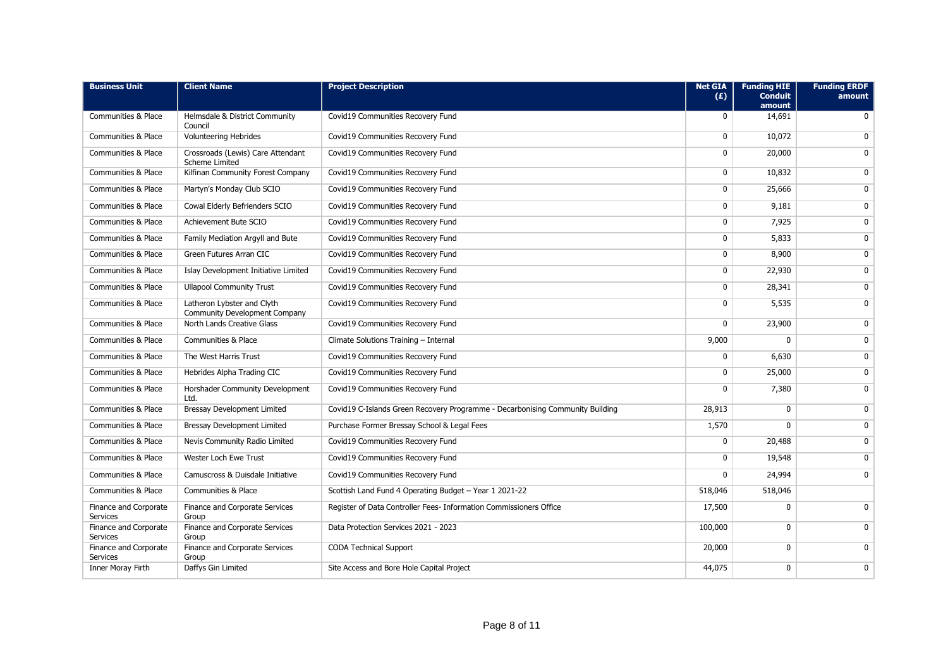| <b>Business Unit</b>                     | <b>Client Name</b>                                                 | <b>Project Description</b>                                                    | <b>Net GIA</b><br>(E) | <b>Funding HIE</b><br><b>Conduit</b><br>amount | <b>Funding ERDF</b><br>amount |
|------------------------------------------|--------------------------------------------------------------------|-------------------------------------------------------------------------------|-----------------------|------------------------------------------------|-------------------------------|
| <b>Communities &amp; Place</b>           | Helmsdale & District Community<br>Council                          | Covid19 Communities Recovery Fund                                             | $\mathbf{0}$          | 14,691                                         | $\Omega$                      |
| Communities & Place                      | <b>Volunteering Hebrides</b>                                       | Covid19 Communities Recovery Fund                                             | $\mathbf{0}$          | 10,072                                         | $\Omega$                      |
| Communities & Place                      | Crossroads (Lewis) Care Attendant<br><b>Scheme Limited</b>         | Covid19 Communities Recovery Fund                                             | 0                     | 20,000                                         | $\mathbf{0}$                  |
| <b>Communities &amp; Place</b>           | Kilfinan Community Forest Company                                  | Covid19 Communities Recovery Fund                                             | $\mathbf 0$           | 10,832                                         | $\mathbf{0}$                  |
| <b>Communities &amp; Place</b>           | Martyn's Monday Club SCIO                                          | Covid19 Communities Recovery Fund                                             | 0                     | 25,666                                         | $\mathbf{0}$                  |
| <b>Communities &amp; Place</b>           | Cowal Elderly Befrienders SCIO                                     | Covid19 Communities Recovery Fund                                             | $\mathbf 0$           | 9,181                                          | $\mathbf{0}$                  |
| <b>Communities &amp; Place</b>           | Achievement Bute SCIO                                              | Covid19 Communities Recovery Fund                                             | $\mathbf 0$           | 7,925                                          | $\mathbf 0$                   |
| <b>Communities &amp; Place</b>           | Family Mediation Argyll and Bute                                   | Covid19 Communities Recovery Fund                                             | $\mathbf 0$           | 5,833                                          | $\mathbf 0$                   |
| Communities & Place                      | Green Futures Arran CIC                                            | Covid19 Communities Recovery Fund                                             | 0                     | 8,900                                          | $\mathbf{0}$                  |
| Communities & Place                      | Islay Development Initiative Limited                               | Covid19 Communities Recovery Fund                                             | 0                     | 22,930                                         | $\mathbf 0$                   |
| Communities & Place                      | <b>Ullapool Community Trust</b>                                    | Covid19 Communities Recovery Fund                                             | 0                     | 28,341                                         | $\mathbf{0}$                  |
| Communities & Place                      | Latheron Lybster and Clyth<br><b>Community Development Company</b> | Covid19 Communities Recovery Fund                                             | 0                     | 5,535                                          | $\mathbf{0}$                  |
| <b>Communities &amp; Place</b>           | North Lands Creative Glass                                         | Covid19 Communities Recovery Fund                                             | 0                     | 23,900                                         | $\mathbf{0}$                  |
| <b>Communities &amp; Place</b>           | Communities & Place                                                | Climate Solutions Training - Internal                                         | 9,000                 | $\mathbf{0}$                                   | $\mathbf{0}$                  |
| <b>Communities &amp; Place</b>           | The West Harris Trust                                              | Covid19 Communities Recovery Fund                                             | $\mathbf{0}$          | 6,630                                          | $\mathbf 0$                   |
| Communities & Place                      | Hebrides Alpha Trading CIC                                         | Covid19 Communities Recovery Fund                                             | $\mathbf{0}$          | 25,000                                         | $\mathbf{0}$                  |
| Communities & Place                      | Horshader Community Development<br>Ltd.                            | Covid19 Communities Recovery Fund                                             | 0                     | 7,380                                          | $\mathbf{0}$                  |
| <b>Communities &amp; Place</b>           | <b>Bressay Development Limited</b>                                 | Covid19 C-Islands Green Recovery Programme - Decarbonising Community Building | 28,913                | $\mathbf{0}$                                   | $\overline{0}$                |
| Communities & Place                      | Bressay Development Limited                                        | Purchase Former Bressay School & Legal Fees                                   | 1,570                 | $\mathbf{0}$                                   | $\mathbf 0$                   |
| <b>Communities &amp; Place</b>           | Nevis Community Radio Limited                                      | Covid19 Communities Recovery Fund                                             | $\mathbf 0$           | 20,488                                         | $\mathbf{0}$                  |
| Communities & Place                      | Wester Loch Ewe Trust                                              | Covid19 Communities Recovery Fund                                             | $\mathbf{0}$          | 19,548                                         | $\mathbf{0}$                  |
| <b>Communities &amp; Place</b>           | Camuscross & Duisdale Initiative                                   | Covid19 Communities Recovery Fund                                             | $\mathbf{0}$          | 24,994                                         | $\mathbf{0}$                  |
| Communities & Place                      | Communities & Place                                                | Scottish Land Fund 4 Operating Budget - Year 1 2021-22                        | 518,046               | 518,046                                        |                               |
| Finance and Corporate<br><b>Services</b> | Finance and Corporate Services<br>Group                            | Register of Data Controller Fees- Information Commissioners Office            | 17,500                | $\mathbf 0$                                    | $\mathbf 0$                   |
| Finance and Corporate<br><b>Services</b> | Finance and Corporate Services<br>Group                            | Data Protection Services 2021 - 2023                                          | 100,000               | $\mathbf 0$                                    | $\mathbf{0}$                  |
| Finance and Corporate<br><b>Services</b> | Finance and Corporate Services<br>Group                            | <b>CODA Technical Support</b>                                                 | 20,000                | $\mathbf 0$                                    | $\mathbf{0}$                  |
| Inner Moray Firth                        | Daffys Gin Limited                                                 | Site Access and Bore Hole Capital Project                                     | 44,075                | 0                                              | 0                             |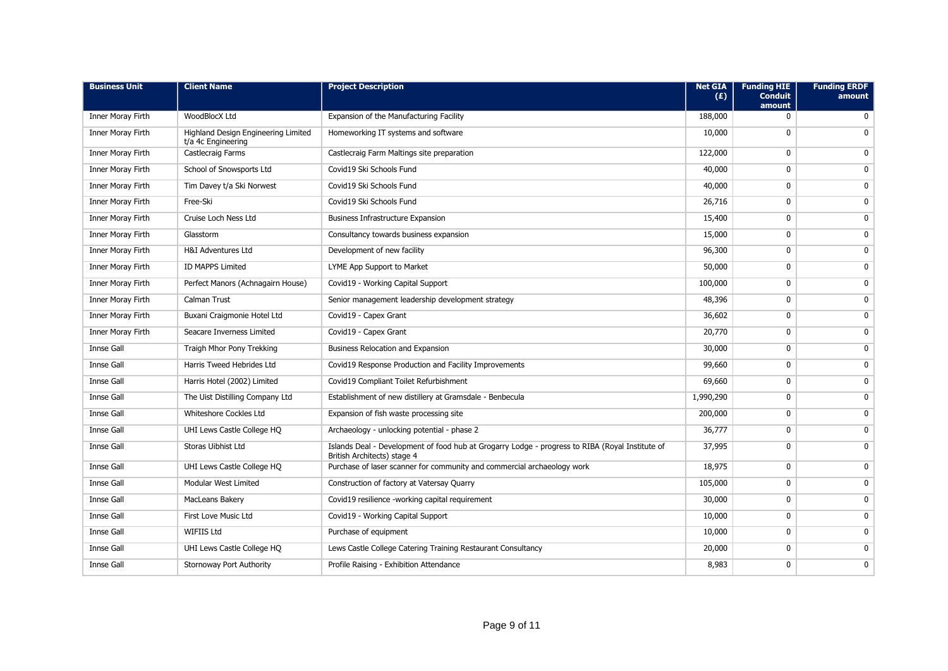| <b>Business Unit</b>     | <b>Client Name</b>                                        | <b>Project Description</b>                                                                                                     | <b>Net GIA</b><br>(E) | <b>Funding HIE</b><br><b>Conduit</b><br>amount | <b>Funding ERDF</b><br>amount |
|--------------------------|-----------------------------------------------------------|--------------------------------------------------------------------------------------------------------------------------------|-----------------------|------------------------------------------------|-------------------------------|
| Inner Moray Firth        | WoodBlocX Ltd                                             | Expansion of the Manufacturing Facility                                                                                        | 188,000               | $\mathbf{0}$                                   | $\Omega$                      |
| Inner Moray Firth        | Highland Design Engineering Limited<br>t/a 4c Engineering | Homeworking IT systems and software                                                                                            | 10,000                | 0                                              | $\mathbf{0}$                  |
| Inner Moray Firth        | Castlecraig Farms                                         | Castlecraig Farm Maltings site preparation                                                                                     | 122,000               | $\mathbf 0$                                    | $\mathbf 0$                   |
| Inner Moray Firth        | School of Snowsports Ltd                                  | Covid19 Ski Schools Fund                                                                                                       | 40,000                | $\mathbf 0$                                    | $\mathbf{0}$                  |
| Inner Moray Firth        | Tim Davey t/a Ski Norwest                                 | Covid19 Ski Schools Fund                                                                                                       | 40,000                | $\mathbf 0$                                    | $\mathbf 0$                   |
| <b>Inner Moray Firth</b> | Free-Ski                                                  | Covid19 Ski Schools Fund                                                                                                       | 26,716                | $\mathbf 0$                                    | $\mathbf 0$                   |
| Inner Moray Firth        | Cruise Loch Ness Ltd                                      | <b>Business Infrastructure Expansion</b>                                                                                       | 15,400                | 0                                              | $\mathbf 0$                   |
| Inner Moray Firth        | Glasstorm                                                 | Consultancy towards business expansion                                                                                         | 15,000                | 0                                              | $\mathbf 0$                   |
| Inner Moray Firth        | <b>H&amp;I Adventures Ltd</b>                             | Development of new facility                                                                                                    | 96,300                | $\mathbf 0$                                    | $\mathbf 0$                   |
| Inner Moray Firth        | <b>ID MAPPS Limited</b>                                   | LYME App Support to Market                                                                                                     | 50,000                | $\mathbf 0$                                    | $\mathbf 0$                   |
| Inner Moray Firth        | Perfect Manors (Achnagairn House)                         | Covid19 - Working Capital Support                                                                                              | 100,000               | $\mathbf 0$                                    | $\mathbf 0$                   |
| Inner Moray Firth        | Calman Trust                                              | Senior management leadership development strategy                                                                              | 48,396                | $\mathbf 0$                                    | $\Omega$                      |
| Inner Moray Firth        | Buxani Craigmonie Hotel Ltd                               | Covid19 - Capex Grant                                                                                                          | 36,602                | $\mathbf 0$                                    | 0                             |
| Inner Moray Firth        | Seacare Inverness Limited                                 | Covid19 - Capex Grant                                                                                                          | 20,770                | 0                                              | 0                             |
| <b>Innse Gall</b>        | Traigh Mhor Pony Trekking                                 | Business Relocation and Expansion                                                                                              | 30,000                | $\mathbf 0$                                    | $\mathbf 0$                   |
| Innse Gall               | Harris Tweed Hebrides Ltd                                 | Covid19 Response Production and Facility Improvements                                                                          | 99,660                | $\mathbf 0$                                    | $\mathbf 0$                   |
| <b>Innse Gall</b>        | Harris Hotel (2002) Limited                               | Covid19 Compliant Toilet Refurbishment                                                                                         | 69,660                | $\mathbf 0$                                    | $\mathbf 0$                   |
| Innse Gall               | The Uist Distilling Company Ltd                           | Establishment of new distillery at Gramsdale - Benbecula                                                                       | 1,990,290             | $\mathbf 0$                                    | $\mathbf{0}$                  |
| <b>Innse Gall</b>        | Whiteshore Cockles Ltd                                    | Expansion of fish waste processing site                                                                                        | 200,000               | $\mathbf{0}$                                   | $\mathbf{0}$                  |
| <b>Innse Gall</b>        | UHI Lews Castle College HQ                                | Archaeology - unlocking potential - phase 2                                                                                    | 36,777                | $\mathbf 0$                                    | $\mathbf 0$                   |
| <b>Innse Gall</b>        | Storas Uibhist Ltd                                        | Islands Deal - Development of food hub at Grogarry Lodge - progress to RIBA (Royal Institute of<br>British Architects) stage 4 | 37,995                | $\mathbf 0$                                    | $\mathbf 0$                   |
| <b>Innse Gall</b>        | UHI Lews Castle College HQ                                | Purchase of laser scanner for community and commercial archaeology work                                                        | 18,975                | $\mathbf 0$                                    | 0                             |
| <b>Innse Gall</b>        | <b>Modular West Limited</b>                               | Construction of factory at Vatersay Quarry                                                                                     | 105,000               | $\mathbf 0$                                    | $\mathbf 0$                   |
| <b>Innse Gall</b>        | MacLeans Bakery                                           | Covid19 resilience -working capital requirement                                                                                | 30,000                | $\mathbf 0$                                    | $\mathbf{0}$                  |
| <b>Innse Gall</b>        | First Love Music Ltd                                      | Covid19 - Working Capital Support                                                                                              | 10,000                | $\mathbf 0$                                    | $\mathbf 0$                   |
| <b>Innse Gall</b>        | <b>WIFIIS Ltd</b>                                         | Purchase of equipment                                                                                                          | 10,000                | $\mathbf 0$                                    | 0                             |
| <b>Innse Gall</b>        | UHI Lews Castle College HQ                                | Lews Castle College Catering Training Restaurant Consultancy                                                                   | 20,000                | $\mathbf 0$                                    | 0                             |
| <b>Innse Gall</b>        | <b>Stornoway Port Authority</b>                           | Profile Raising - Exhibition Attendance                                                                                        | 8,983                 | $\mathbf 0$                                    | $\mathbf 0$                   |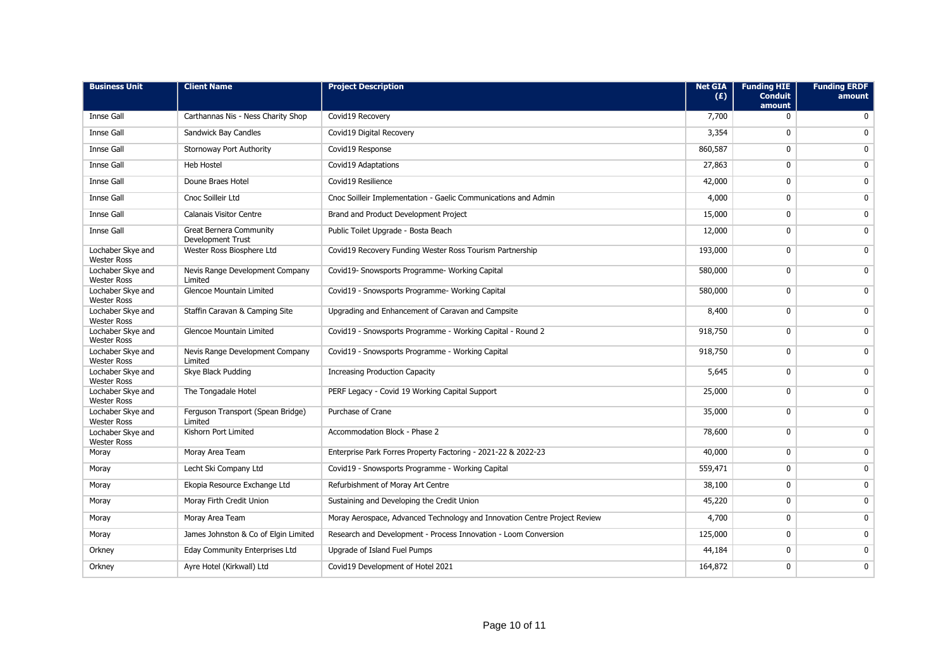| <b>Business Unit</b>                    | <b>Client Name</b>                                         | <b>Project Description</b>                                                | <b>Net GIA</b><br>(E) | <b>Funding HIE</b><br><b>Conduit</b><br>amount | <b>Funding ERDF</b><br>amount |
|-----------------------------------------|------------------------------------------------------------|---------------------------------------------------------------------------|-----------------------|------------------------------------------------|-------------------------------|
| <b>Innse Gall</b>                       | Carthannas Nis - Ness Charity Shop                         | Covid19 Recovery                                                          | 7,700                 | $\mathbf{0}$                                   | 0                             |
| <b>Innse Gall</b>                       | Sandwick Bay Candles                                       | Covid19 Digital Recovery                                                  | 3,354                 | $\mathbf{0}$                                   | $\mathbf 0$                   |
| <b>Innse Gall</b>                       | Stornoway Port Authority                                   | Covid19 Response                                                          | 860,587               | 0                                              | 0                             |
| <b>Innse Gall</b>                       | <b>Heb Hostel</b>                                          | Covid19 Adaptations                                                       | 27,863                | 0                                              | $\mathbf 0$                   |
| Innse Gall                              | Doune Braes Hotel                                          | Covid19 Resilience                                                        | 42,000                | $\mathbf 0$                                    | $\mathbf 0$                   |
| <b>Innse Gall</b>                       | Cnoc Soilleir Ltd                                          | Cnoc Soilleir Implementation - Gaelic Communications and Admin            | 4,000                 | 0                                              | $\mathbf 0$                   |
| <b>Innse Gall</b>                       | <b>Calanais Visitor Centre</b>                             | Brand and Product Development Project                                     | 15,000                | 0                                              | 0                             |
| <b>Innse Gall</b>                       | <b>Great Bernera Community</b><br><b>Development Trust</b> | Public Toilet Upgrade - Bosta Beach                                       | 12,000                | 0                                              | $\mathbf 0$                   |
| Lochaber Skye and<br><b>Wester Ross</b> | Wester Ross Biosphere Ltd                                  | Covid19 Recovery Funding Wester Ross Tourism Partnership                  | 193,000               | 0                                              | $\mathbf 0$                   |
| Lochaber Skye and<br><b>Wester Ross</b> | Nevis Range Development Company<br>Limited                 | Covid19- Snowsports Programme- Working Capital                            | 580,000               | $\mathbf{0}$                                   | $\mathbf{0}$                  |
| Lochaber Skye and<br><b>Wester Ross</b> | <b>Glencoe Mountain Limited</b>                            | Covid19 - Snowsports Programme- Working Capital                           | 580,000               | 0                                              | $\mathbf{0}$                  |
| Lochaber Skye and<br><b>Wester Ross</b> | Staffin Caravan & Camping Site                             | Upgrading and Enhancement of Caravan and Campsite                         | 8,400                 | 0                                              | $\mathbf 0$                   |
| Lochaber Skye and<br><b>Wester Ross</b> | <b>Glencoe Mountain Limited</b>                            | Covid19 - Snowsports Programme - Working Capital - Round 2                | 918,750               | 0                                              | $\mathbf 0$                   |
| Lochaber Skye and<br><b>Wester Ross</b> | Nevis Range Development Company<br>Limited                 | Covid19 - Snowsports Programme - Working Capital                          | 918,750               | 0                                              | $\mathbf 0$                   |
| Lochaber Skye and<br><b>Wester Ross</b> | Skye Black Pudding                                         | <b>Increasing Production Capacity</b>                                     | 5,645                 | $\mathbf 0$                                    | $\mathbf 0$                   |
| Lochaber Skye and<br><b>Wester Ross</b> | The Tongadale Hotel                                        | PERF Legacy - Covid 19 Working Capital Support                            | 25,000                | $\mathbf 0$                                    | $\mathbf{0}$                  |
| Lochaber Skye and<br><b>Wester Ross</b> | Ferguson Transport (Spean Bridge)<br>Limited               | Purchase of Crane                                                         | 35,000                | 0                                              | $\mathbf{0}$                  |
| Lochaber Skye and<br><b>Wester Ross</b> | Kishorn Port Limited                                       | Accommodation Block - Phase 2                                             | 78,600                | $\mathbf{0}$                                   | $\mathbf{0}$                  |
| Moray                                   | Moray Area Team                                            | Enterprise Park Forres Property Factoring - 2021-22 & 2022-23             | 40,000                | 0                                              | 0                             |
| Moray                                   | Lecht Ski Company Ltd                                      | Covid19 - Snowsports Programme - Working Capital                          | 559,471               | $\mathbf 0$                                    | $\mathbf 0$                   |
| Moray                                   | Ekopia Resource Exchange Ltd                               | Refurbishment of Moray Art Centre                                         | 38,100                | $\mathbf{0}$                                   | 0                             |
| Moray                                   | Moray Firth Credit Union                                   | Sustaining and Developing the Credit Union                                | 45,220                | 0                                              | 0                             |
| Moray                                   | Moray Area Team                                            | Moray Aerospace, Advanced Technology and Innovation Centre Project Review | 4,700                 | $\mathbf 0$                                    | $\mathbf 0$                   |
| Moray                                   | James Johnston & Co of Elgin Limited                       | Research and Development - Process Innovation - Loom Conversion           | 125,000               | 0                                              | $\mathbf 0$                   |
| Orkney                                  | <b>Eday Community Enterprises Ltd</b>                      | Upgrade of Island Fuel Pumps                                              | 44,184                | $\mathbf 0$                                    | $\mathbf 0$                   |
| Orkney                                  | Ayre Hotel (Kirkwall) Ltd                                  | Covid19 Development of Hotel 2021                                         | 164,872               | 0                                              | $\mathbf 0$                   |